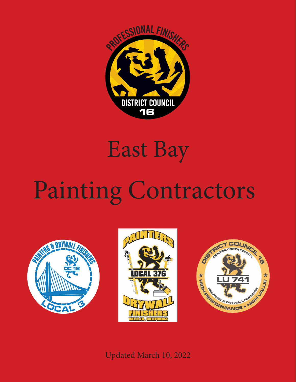

## East Bay

# Painting Contractors







#### Updated March 10, 2022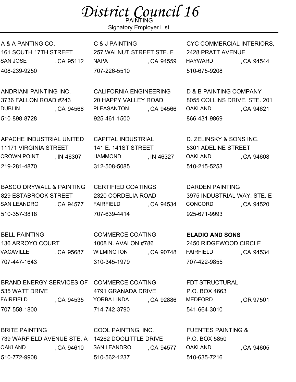### District Council 16

Signatory Employer List

A & A PANTING CO. 161 SOUTH 17TH STREET SAN JOSE (CA 95112 408-239-9250

ANDRIANI PAINTING INC. 3736 FALLON ROAD #243 DUBLIN, CA 94568 510-898-8728

APACHE INDUSTRIAL UNITED 11171 VIRGINIA STREET **CROWN POINT** 219-281-4870 , IN 46307

BASCO DRYWALL & PAINTING 829 ESTABROOK STREET SAN LEANDRO 510-357-3818 .CA 94577

BELL PAINTING 136 ARROYO COURT VACAVILLE , CA 95687 707-447-1643

BRAND ENERGY SERVICES OF COMMERCE COATING 535 WATT DRIVE FAIRFIELD , CA 94535 707-558-1800

BRITE PAINTING 739 WARFIELD AVENUE STE. A 14262 DOOLITTLE DRIVE OAKLAND, CA 94610 510-772-9908

C & J PAINTING 257 WALNUT STREET STE. F NAPA , CA 94559 707-226-5510

CALIFORNIA ENGINEERING 20 HAPPY VALLEY ROAD PLEASANTON 925-461-1500 ,CA 94566

CAPITAL INDUSTRIAL 141 E. 141ST STREET HAMMOND, N 46327 312-508-5085

CERTIFIED COATINGS 2320 CORDELIA ROAD FAIRFIELD, CA 94534 707-639-4414

COMMERCE COATING 1008 N. AVALON #786 WILMINGTON 310-345-1979 CA 90748

4791 GRANADA DRIVE YORBA LINDA 714-742-3790 , CA 92886

COOL PAINTING, INC. SAN LEANDRO 510-562-1237 ,CA 94577 CYC COMMERCIAL INTERIORS, 2428 PRATT AVENUE HAYWARD, CA 94544 510-675-9208

D & B PAINTING COMPANY 8055 COLLINS DRIVE, STE. 201 OAKLAND, CA 94621 866-431-9869

D. ZELINSKY & SONS INC. 5301 ADELINE STREET OAKLAND, CA 94608 510-215-5253

DARDEN PAINTING 3975 INDUSTRIAL WAY, STE. E CONCORD, CA 94520 925-671-9993

**ELADIO AND SONS** 2450 RIDGEWOOD CIRCLE FAIRFIELD, CA 94534 707-422-9855

FDT STRUCTURAL P.O. BOX 4663 MEDFORD, OR 97501 541-664-3010

FUENTES PAINTING & P.O. BOX 5850 OAKLAND, CA 94605 510-635-7216